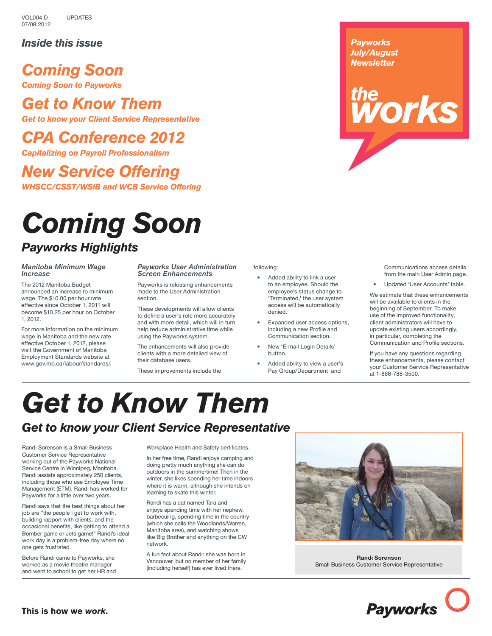### *Inside this issue*

## *Coming Soon*

*Coming Soon to Payworks*

### *Get to Know Them*

*Get to know your Client Service Representative*

## *CPA Conference 2012*

*Capitalizing on Payroll Professionalism*

# *New Service Offering WHSCC/CSST/WSIB and WCB Service Offering*

# *Coming Soon Payworks Highlights*

### *Manitoba Minimum Wage Increase*

The 2012 Manitoba Budget announced an increase to minimum wage. The \$10.00 per hour rate effective since October 1, 2011 will become \$10.25 per hour on October 1, 2012.

For more information on the minimum wage in Manitoba and the new rate effective October 1, 2012, please visit the Government of Manitoba Employment Standards website at www.gov.mb.ca/labour/standards/.

#### *Payworks User Administration Screen Enhancements*

Payworks is releasing enhancements made to the User Administration section.

These developments will allow clients to define a user's role more accurately and with more detail, which will in turn help reduce administrative time while using the Payworks system.

The enhancements will also provide clients with a more detailed view of their database users.

These improvements include the

#### following:

- Added ability to link a user to an employee. Should the employee's status change to 'Terminated,' the user system access will be automatically denied.
- Expanded user access options, including a new Profile and Communication section.
- New 'E-mail Login Details' button.
- Added ability to view a user's Pay Group/Department and

Communications access details from the main User Admin page.

• Updated 'User Accounts' table.

the<br>**WOrks** 

*Payworks July/August Newsletter*

> We estimate that these enhancements will be available to clients in the beginning of September. To make use of the improved functionality, client administrators will have to update existing users accordingly, in particular, completing the Communication and Profile sections.

If you have any questions regarding these enhancements, please contact your Customer Service Representative at 1-866-788-3500.

# *Get to Know Them*

### *Get to know your Client Service Representative*

Randi Sorenson is a Small Business Customer Service Representative working out of the Payworks National Service Centre in Winnipeg, Manitoba. Randi assists approximately 250 clients, including those who use Employee Time Management (ETM). Randi has worked for Payworks for a little over two years.

Randi says that the best things about her job are "the people I get to work with, building rapport with clients, and the occasional benefits, like getting to attend a Bomber game or Jets game!" Randi's ideal work day is a problem-free day where no one gets frustrated.

Before Randi came to Payworks, she worked as a movie theatre manager and went to school to get her HR and Workplace Health and Safety certificates.

In her free time, Randi enjoys camping and doing pretty much anything she can do outdoors in the summertime! Then in the winter, she likes spending her time indoors where it is warm, although she intends on learning to skate this winter.

Randi has a cat named Tara and enjoys spending time with her nephew, barbecuing, spending time in the country (which she calls the Woodlands/Warren, Manitoba area), and watching shows like Big Brother and anything on the CW network.

A fun fact about Randi: she was born in Vancouver, but no member of her family (including herself) has ever lived there.



**Randi Sorenson** Small Business Customer Service Representative